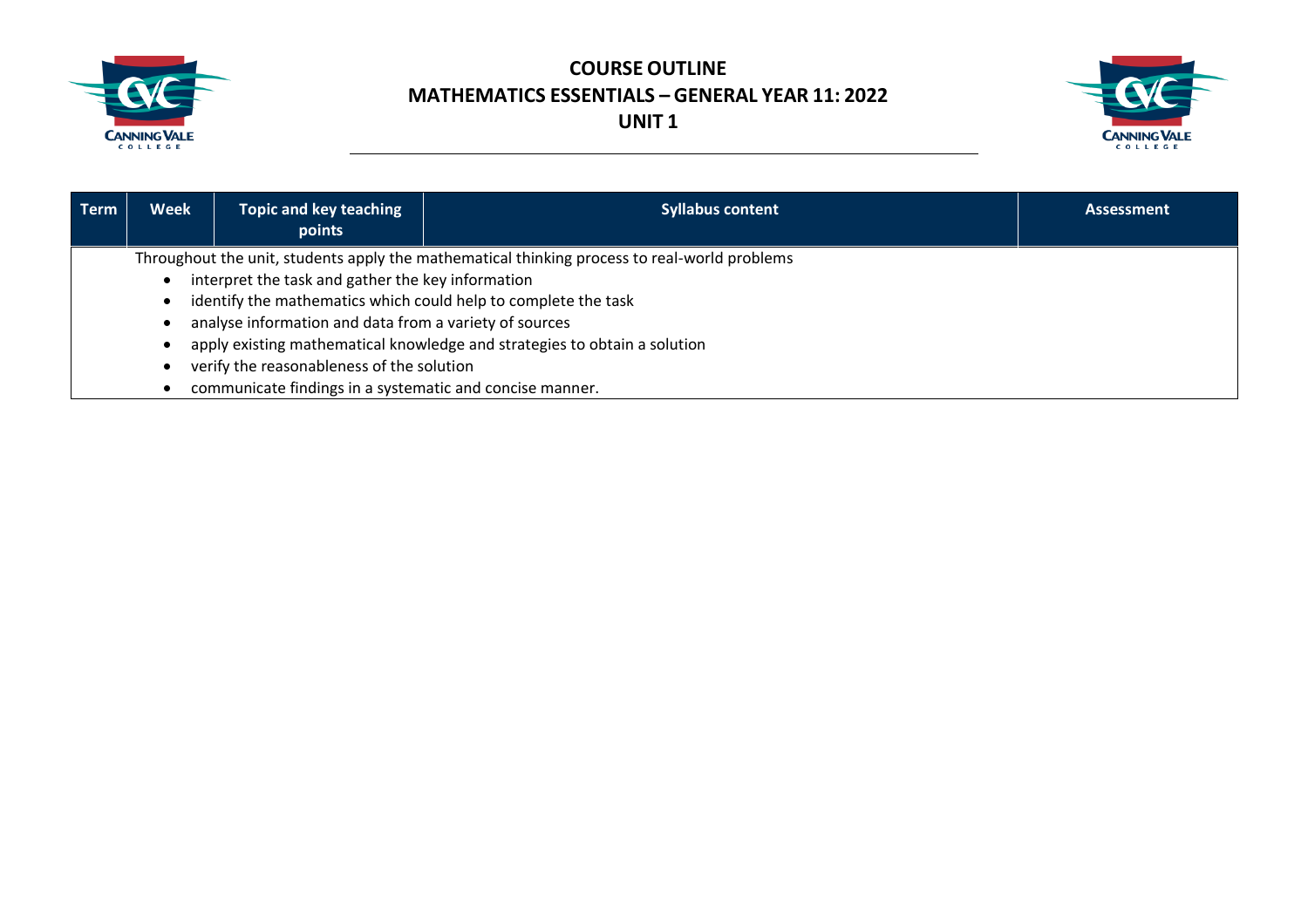



| Term | <b>Week</b>                                                                                  | <b>Topic and key teaching</b><br>points                                   | <b>Syllabus content</b> | <b>Assessment</b> |  |
|------|----------------------------------------------------------------------------------------------|---------------------------------------------------------------------------|-------------------------|-------------------|--|
|      | Throughout the unit, students apply the mathematical thinking process to real-world problems |                                                                           |                         |                   |  |
|      | interpret the task and gather the key information                                            |                                                                           |                         |                   |  |
|      | identify the mathematics which could help to complete the task                               |                                                                           |                         |                   |  |
|      | analyse information and data from a variety of sources                                       |                                                                           |                         |                   |  |
|      |                                                                                              | apply existing mathematical knowledge and strategies to obtain a solution |                         |                   |  |
|      |                                                                                              | verify the reasonableness of the solution                                 |                         |                   |  |
|      |                                                                                              | communicate findings in a systematic and concise manner.                  |                         |                   |  |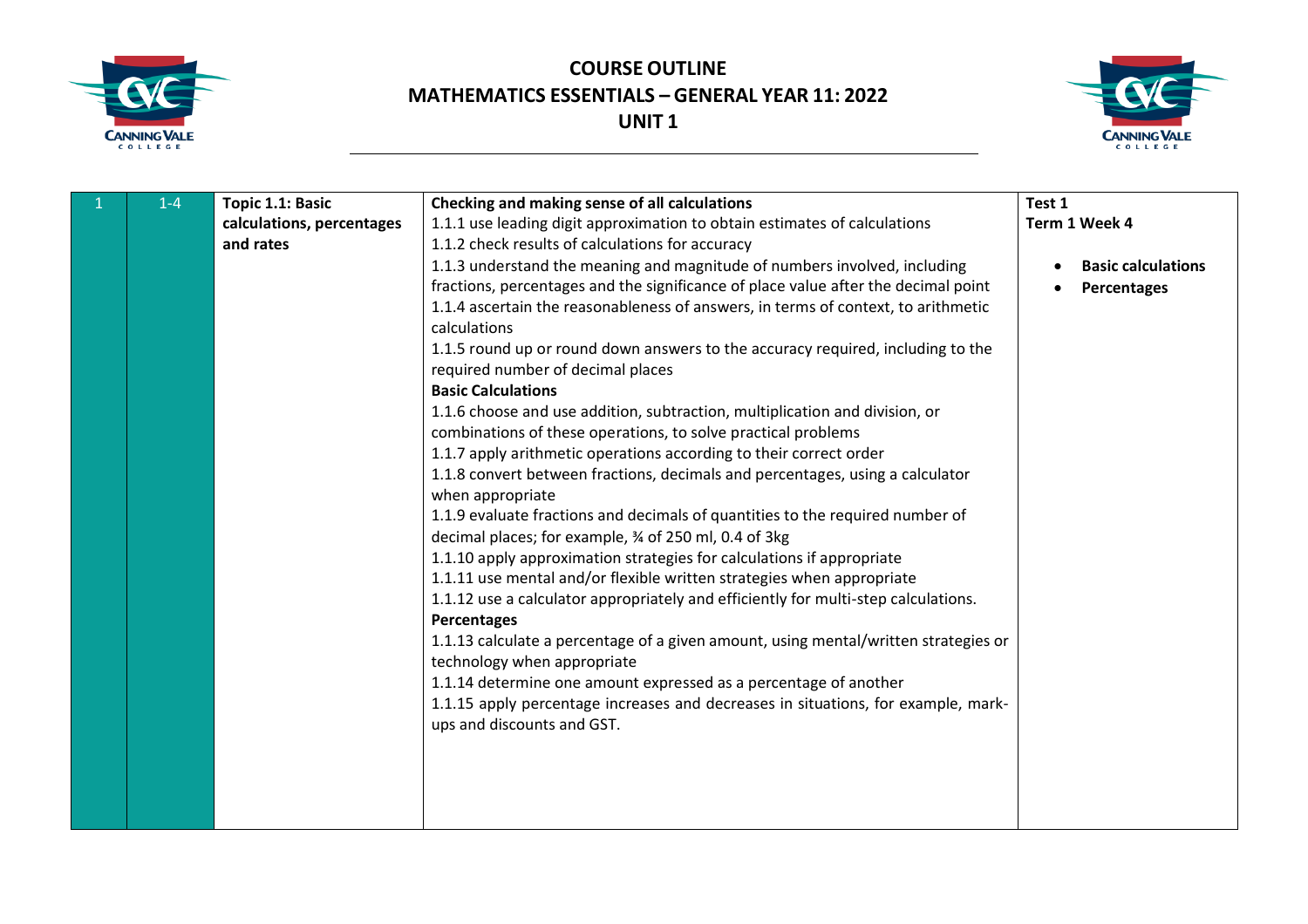



| $\mathbf{1}$ | $1 - 4$ | Topic 1.1: Basic          | Checking and making sense of all calculations                                                                                                                                                                                                                                                                                                                                                                                                                                                                                                                                                                                                                                                                                                                                                                                                                                                                                                                                                                                                                                                                                                                                                                                                                                                                                                                                                                                                                       | Test 1                                   |
|--------------|---------|---------------------------|---------------------------------------------------------------------------------------------------------------------------------------------------------------------------------------------------------------------------------------------------------------------------------------------------------------------------------------------------------------------------------------------------------------------------------------------------------------------------------------------------------------------------------------------------------------------------------------------------------------------------------------------------------------------------------------------------------------------------------------------------------------------------------------------------------------------------------------------------------------------------------------------------------------------------------------------------------------------------------------------------------------------------------------------------------------------------------------------------------------------------------------------------------------------------------------------------------------------------------------------------------------------------------------------------------------------------------------------------------------------------------------------------------------------------------------------------------------------|------------------------------------------|
|              |         | calculations, percentages | 1.1.1 use leading digit approximation to obtain estimates of calculations                                                                                                                                                                                                                                                                                                                                                                                                                                                                                                                                                                                                                                                                                                                                                                                                                                                                                                                                                                                                                                                                                                                                                                                                                                                                                                                                                                                           | Term 1 Week 4                            |
|              |         | and rates                 | 1.1.2 check results of calculations for accuracy                                                                                                                                                                                                                                                                                                                                                                                                                                                                                                                                                                                                                                                                                                                                                                                                                                                                                                                                                                                                                                                                                                                                                                                                                                                                                                                                                                                                                    |                                          |
|              |         |                           | 1.1.3 understand the meaning and magnitude of numbers involved, including<br>fractions, percentages and the significance of place value after the decimal point<br>1.1.4 ascertain the reasonableness of answers, in terms of context, to arithmetic<br>calculations<br>1.1.5 round up or round down answers to the accuracy required, including to the<br>required number of decimal places<br><b>Basic Calculations</b><br>1.1.6 choose and use addition, subtraction, multiplication and division, or<br>combinations of these operations, to solve practical problems<br>1.1.7 apply arithmetic operations according to their correct order<br>1.1.8 convert between fractions, decimals and percentages, using a calculator<br>when appropriate<br>1.1.9 evaluate fractions and decimals of quantities to the required number of<br>decimal places; for example, 3⁄4 of 250 ml, 0.4 of 3kg<br>1.1.10 apply approximation strategies for calculations if appropriate<br>1.1.11 use mental and/or flexible written strategies when appropriate<br>1.1.12 use a calculator appropriately and efficiently for multi-step calculations.<br>Percentages<br>1.1.13 calculate a percentage of a given amount, using mental/written strategies or<br>technology when appropriate<br>1.1.14 determine one amount expressed as a percentage of another<br>1.1.15 apply percentage increases and decreases in situations, for example, mark-<br>ups and discounts and GST. | <b>Basic calculations</b><br>Percentages |
|              |         |                           |                                                                                                                                                                                                                                                                                                                                                                                                                                                                                                                                                                                                                                                                                                                                                                                                                                                                                                                                                                                                                                                                                                                                                                                                                                                                                                                                                                                                                                                                     |                                          |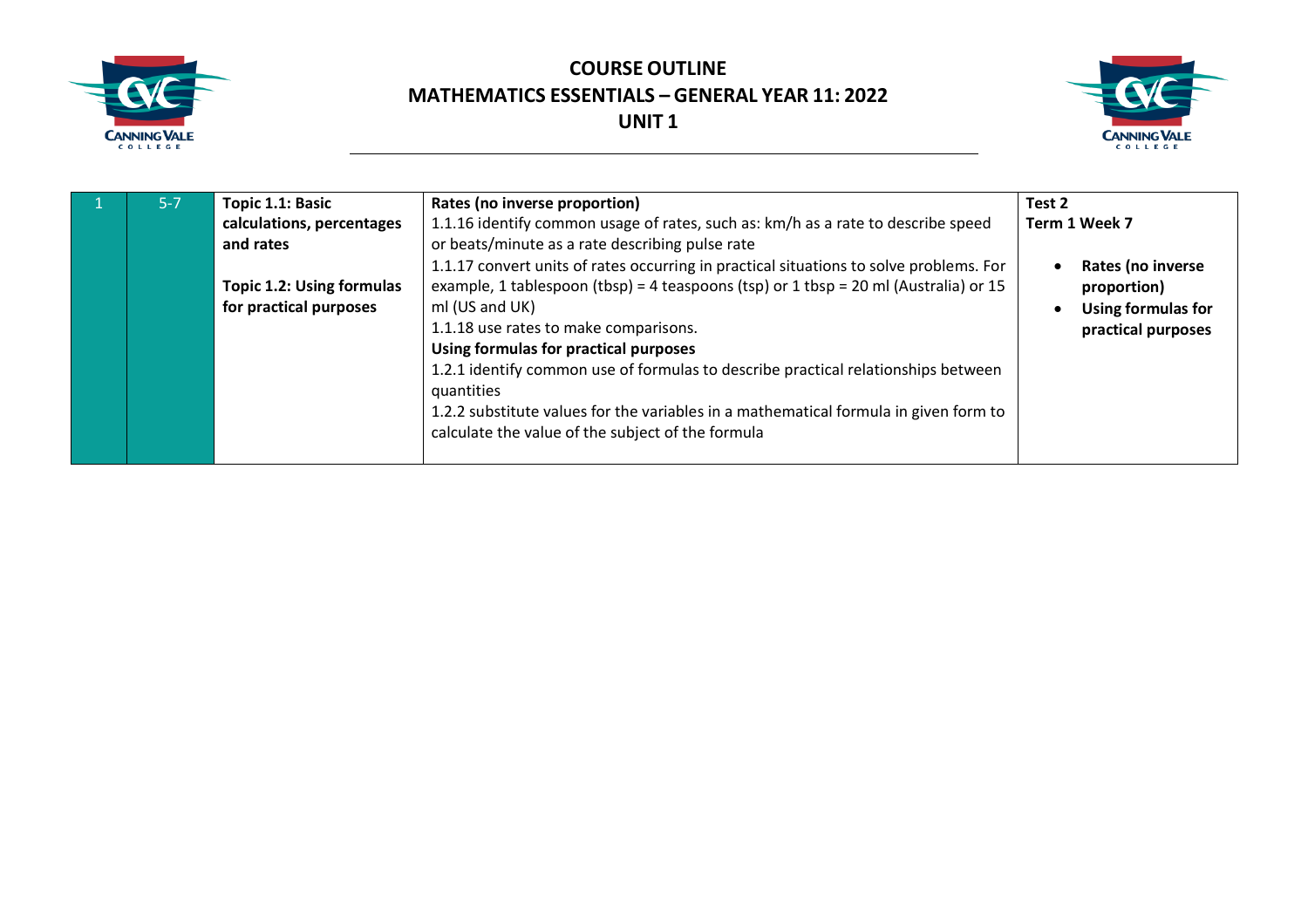



| $5 - 7$ | Topic 1.1: Basic                 | Rates (no inverse proportion)                                                          | Test 2                    |
|---------|----------------------------------|----------------------------------------------------------------------------------------|---------------------------|
|         | calculations, percentages        | 1.1.16 identify common usage of rates, such as: km/h as a rate to describe speed       | Term 1 Week 7             |
|         | and rates                        | or beats/minute as a rate describing pulse rate                                        |                           |
|         |                                  | 1.1.17 convert units of rates occurring in practical situations to solve problems. For | Rates (no inverse         |
|         | <b>Topic 1.2: Using formulas</b> | example, 1 tablespoon (tbsp) = 4 teaspoons (tsp) or 1 tbsp = 20 ml (Australia) or 15   | proportion)               |
|         | for practical purposes           | ml (US and UK)                                                                         | <b>Using formulas for</b> |
|         |                                  | 1.1.18 use rates to make comparisons.                                                  | practical purposes        |
|         |                                  | Using formulas for practical purposes                                                  |                           |
|         |                                  | 1.2.1 identify common use of formulas to describe practical relationships between      |                           |
|         |                                  | quantities                                                                             |                           |
|         |                                  | 1.2.2 substitute values for the variables in a mathematical formula in given form to   |                           |
|         |                                  | calculate the value of the subject of the formula                                      |                           |
|         |                                  |                                                                                        |                           |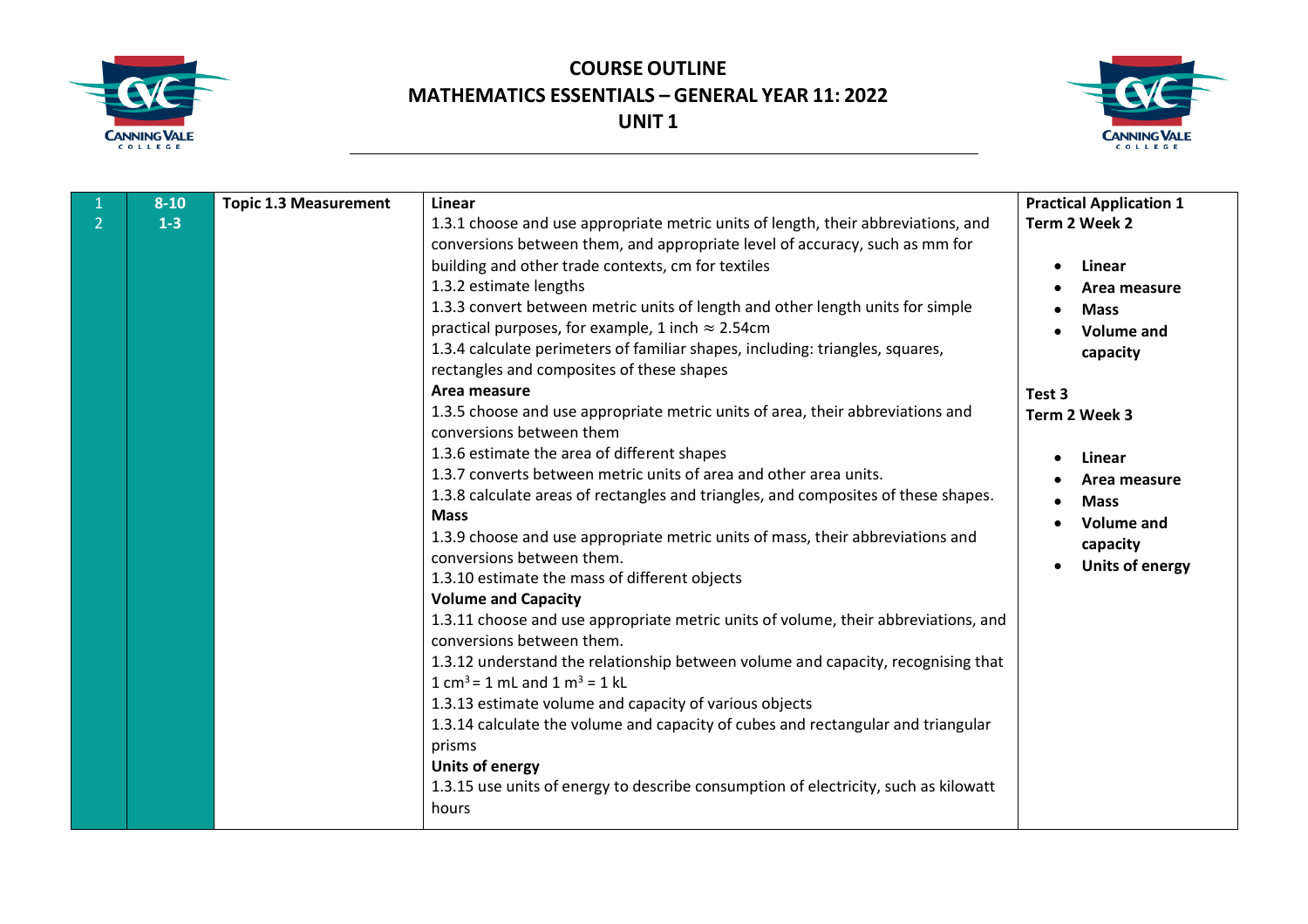



|                | $8 - 10$ | <b>Topic 1.3 Measurement</b> | Linear                                                                                                                                                                                                                                                                                                                                                                                                                                                                                                                                                                | <b>Practical Application 1</b>                                                                          |
|----------------|----------|------------------------------|-----------------------------------------------------------------------------------------------------------------------------------------------------------------------------------------------------------------------------------------------------------------------------------------------------------------------------------------------------------------------------------------------------------------------------------------------------------------------------------------------------------------------------------------------------------------------|---------------------------------------------------------------------------------------------------------|
| $\overline{2}$ | $1-3$    |                              | 1.3.1 choose and use appropriate metric units of length, their abbreviations, and                                                                                                                                                                                                                                                                                                                                                                                                                                                                                     | Term 2 Week 2                                                                                           |
|                |          |                              | conversions between them, and appropriate level of accuracy, such as mm for<br>building and other trade contexts, cm for textiles<br>1.3.2 estimate lengths<br>1.3.3 convert between metric units of length and other length units for simple<br>practical purposes, for example, 1 inch $\approx$ 2.54cm<br>1.3.4 calculate perimeters of familiar shapes, including: triangles, squares,<br>rectangles and composites of these shapes<br>Area measure<br>1.3.5 choose and use appropriate metric units of area, their abbreviations and<br>conversions between them | Linear<br>$\bullet$<br>Area measure<br><b>Mass</b><br>Volume and<br>capacity<br>Test 3<br>Term 2 Week 3 |
|                |          |                              | 1.3.6 estimate the area of different shapes<br>1.3.7 converts between metric units of area and other area units.<br>1.3.8 calculate areas of rectangles and triangles, and composites of these shapes.<br><b>Mass</b><br>1.3.9 choose and use appropriate metric units of mass, their abbreviations and<br>conversions between them.<br>1.3.10 estimate the mass of different objects<br><b>Volume and Capacity</b>                                                                                                                                                   | Linear<br>Area measure<br><b>Mass</b><br><b>Volume and</b><br>capacity<br><b>Units of energy</b>        |
|                |          |                              | 1.3.11 choose and use appropriate metric units of volume, their abbreviations, and<br>conversions between them.<br>1.3.12 understand the relationship between volume and capacity, recognising that<br>$1 \text{ cm}^3$ = 1 mL and 1 m <sup>3</sup> = 1 kL<br>1.3.13 estimate volume and capacity of various objects<br>1.3.14 calculate the volume and capacity of cubes and rectangular and triangular<br>prisms<br><b>Units of energy</b><br>1.3.15 use units of energy to describe consumption of electricity, such as kilowatt<br>hours                          |                                                                                                         |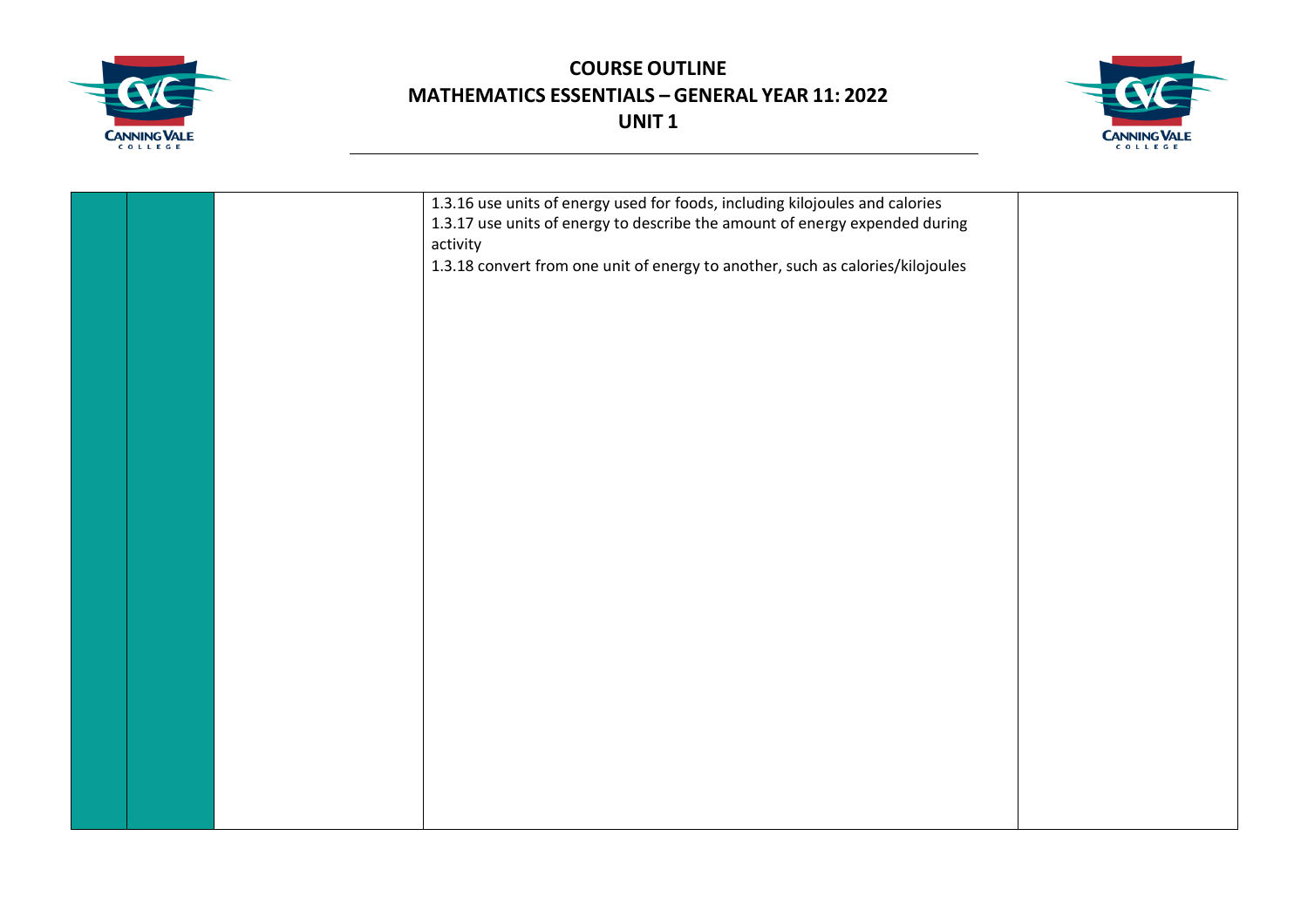



|  | 1.3.16 use units of energy used for foods, including kilojoules and calories<br>1.3.17 use units of energy to describe the amount of energy expended during<br>activity<br>1.3.18 convert from one unit of energy to another, such as calories/kilojoules |  |
|--|-----------------------------------------------------------------------------------------------------------------------------------------------------------------------------------------------------------------------------------------------------------|--|
|  |                                                                                                                                                                                                                                                           |  |
|  |                                                                                                                                                                                                                                                           |  |
|  |                                                                                                                                                                                                                                                           |  |
|  |                                                                                                                                                                                                                                                           |  |
|  |                                                                                                                                                                                                                                                           |  |